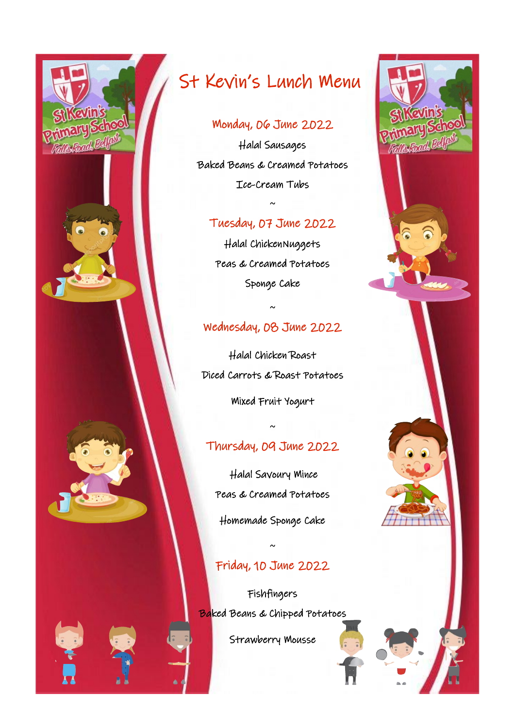

## Monday, 06 June 2022

Halal Sausages Baked Beans & Creamed Potatoes Ice-Cream Tubs

#### Tuesday, 07 June 2022

~

Halal ChickenNuggets Peas & Creamed Potatoes Sponge Cake

### Wednesday, 08 June 2022

~

Halal Chicken Roast Diced Carrots & Roast Potatoes

Mixed Fruit Yogurt

# Thursday, 09 June 2022

~

 Halal Savoury Mince Peas & Creamed Potatoes Homemade Sponge Cake

#### Friday, 10 June 2022

~

Fishfingers Baked Beans & Chipped Potatoes

Strawberry Mousse

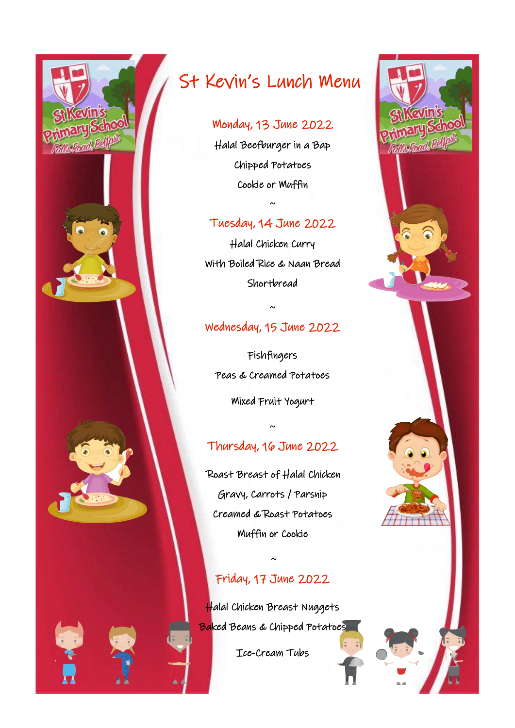

# Monday, 13 June 2022

Halal Beefburger in a Bap Chipped Potatoes Cookie or Muffin

# Tuesday, 14 June 2022

 $\sim$ 

Halal Chicken Curry With Boiled Rice & Naan Bread Shortbread

## Wednesday, 15 June 2022

~

Fishfingers Peas & Creamed Potatoes Mixed Fruit Yogurt

# Thursday, 16 June 2022

~

 Roast Breast of Halal Chicken Gravy, Carrots / Parsnip Creamed & Roast Potatoes Muffin or Cookie

# Friday, 17 June 2022

 $\sim$ 

Halal Chicken Breast Nuggets Baked Beans & Chipped Potatoes

Ice-Cream Tubs

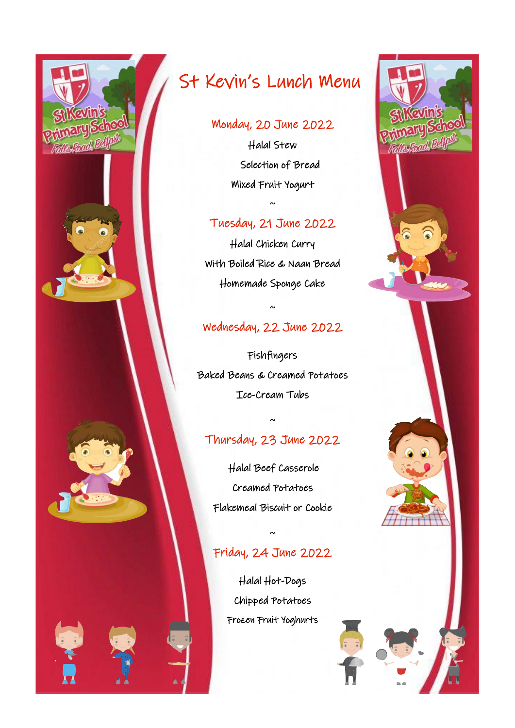

#### Monday, 20 June 2022

Halal Stew Selection of Bread Mixed Fruit Yogurt

#### Tuesday, 21 June 2022

 $\sim$ 

Halal Chicken Curry With Boiled Rice & Naan Bread Homemade Sponge Cake

### Wednesday, 22 June 2022

~

Fishfingers Baked Beans & Creamed Potatoes Ice-Cream Tubs

# Thursday, 23 June 2022

~

 Halal Beef Casserole Creamed Potatoes Flakemeal Biscuit or Cookie

# Friday, 24 June 2022

~

Halal Hot-Dogs Chipped Potatoes Frozen Fruit Yoghurts